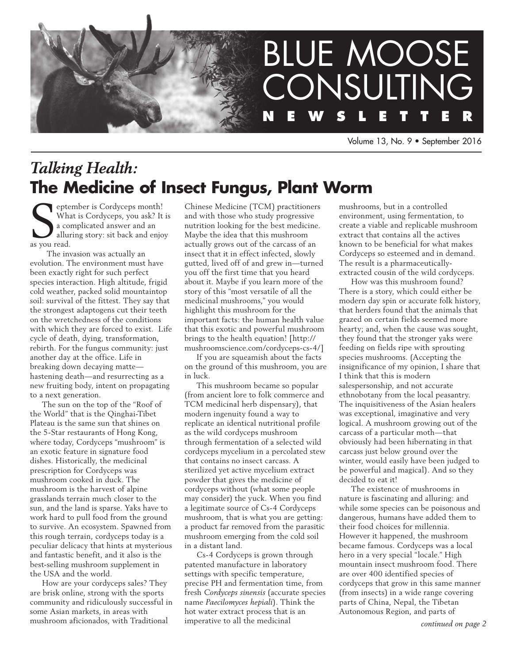

Volume 13, No. 9 • September 2016

# *Talking Health:* **The Medicine of Insect Fungus, Plant Worm**

Supplement of Whan a contract of Whan a contract of the set of the set of the set of the set of the set of the set of the set of the set of the set of the set of the set of the set of the set of the set of the set of the s eptember is Cordyceps month! What is Cordyceps, you ask? It is a complicated answer and an alluring story: sit back and enjoy

 The invasion was actually an evolution. The environment must have been exactly right for such perfect species interaction. High altitude, frigid cold weather, packed solid mountaintop soil: survival of the fittest. They say that the strongest adaptogens cut their teeth on the wretchedness of the conditions with which they are forced to exist. Life cycle of death, dying, transformation, rebirth. For the fungus community: just another day at the office. Life in breaking down decaying matte hastening death—and resurrecting as a new fruiting body, intent on propagating to a next generation.

The sun on the top of the "Roof of the World" that is the Qinghai-Tibet Plateau is the same sun that shines on the 5-Star restaurants of Hong Kong, where today, Cordyceps "mushroom" is an exotic feature in signature food dishes. Historically, the medicinal prescription for Cordyceps was mushroom cooked in duck. The mushroom is the harvest of alpine grasslands terrain much closer to the sun, and the land is sparse. Yaks have to work hard to pull food from the ground to survive. An ecosystem. Spawned from this rough terrain, cordyceps today is a peculiar delicacy that hints at mysterious and fantastic benefit, and it also is the best-selling mushroom supplement in the USA and the world.

How are your cordyceps sales? They are brisk online, strong with the sports community and ridiculously successful in some Asian markets, in areas with mushroom aficionados, with Traditional

Chinese Medicine (TCM) practitioners and with those who study progressive nutrition looking for the best medicine. Maybe the idea that this mushroom actually grows out of the carcass of an insect that it in effect infected, slowly gutted, lived off of and grew in—turned you off the first time that you heard about it. Maybe if you learn more of the story of this "most versatile of all the medicinal mushrooms," you would highlight this mushroom for the important facts: the human health value that this exotic and powerful mushroom brings to the health equation! [http:// mushroomscience.com/cordyceps-cs-4/]

If you are squeamish about the facts on the ground of this mushroom, you are in luck.

This mushroom became so popular (from ancient lore to folk commerce and TCM medicinal herb dispensary), that modern ingenuity found a way to replicate an identical nutritional profile as the wild cordyceps mushroom through fermentation of a selected wild cordyceps mycelium in a percolated stew that contains no insect carcass. A sterilized yet active mycelium extract powder that gives the medicine of cordyceps without (what some people may consider) the yuck. When you find a legitimate source of Cs-4 Cordyceps mushroom, that is what you are getting: a product far removed from the parasitic mushroom emerging from the cold soil in a distant land.

Cs-4 Cordyceps is grown through patented manufacture in laboratory settings with specific temperature, precise PH and fermentation time, from fresh *Cordyceps sinensis* (accurate species name *Paecilomyces hepiali*). Think the hot water extract process that is an imperative to all the medicinal

mushrooms, but in a controlled environment, using fermentation, to create a viable and replicable mushroom extract that contains all the actives known to be beneficial for what makes Cordyceps so esteemed and in demand. The result is a pharmaceuticallyextracted cousin of the wild cordyceps.

How was this mushroom found? There is a story, which could either be modern day spin or accurate folk history, that herders found that the animals that grazed on certain fields seemed more hearty; and, when the cause was sought, they found that the stronger yaks were feeding on fields ripe with sprouting species mushrooms. (Accepting the insignificance of my opinion, I share that I think that this is modern salespersonship, and not accurate ethnobotany from the local peasantry. The inquisitiveness of the Asian healers was exceptional, imaginative and very logical. A mushroom growing out of the carcass of a particular moth—that obviously had been hibernating in that carcass just below ground over the winter, would easily have been judged to be powerful and magical). And so they decided to eat it!

The existence of mushrooms in nature is fascinating and alluring: and while some species can be poisonous and dangerous, humans have added them to their food choices for millennia. However it happened, the mushroom became famous. Cordyceps was a local hero in a very special "locale." High mountain insect mushroom food. There are over 400 identified species of cordyceps that grow in this same manner (from insects) in a wide range covering parts of China, Nepal, the Tibetan Autonomous Region, and parts of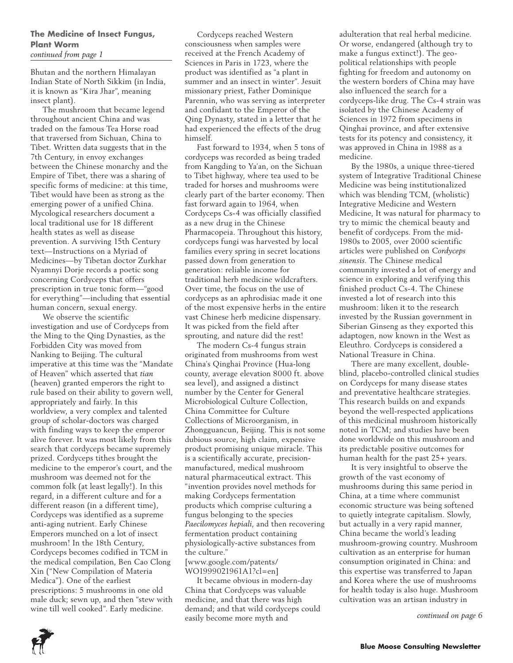### **The Medicine of Insect Fungus, Plant Worm**  *continued from page 1*

Bhutan and the northern Himalayan Indian State of North Sikkim (in India, it is known as "Kira Jhar", meaning insect plant).

The mushroom that became legend throughout ancient China and was traded on the famous Tea Horse road that traversed from Sichuan, China to Tibet. Written data suggests that in the 7th Century, in envoy exchanges between the Chinese monarchy and the Empire of Tibet, there was a sharing of specific forms of medicine: at this time, Tibet would have been as strong as the emerging power of a unified China. Mycological researchers document a local traditional use for 18 different health states as well as disease prevention. A surviving 15th Century text—Instructions on a Myriad of Medicines—by Tibetan doctor Zurkhar Nyamnyi Dorje records a poetic song concerning Cordyceps that offers prescription in true tonic form—"good for everything"—including that essential human concern, sexual energy.

We observe the scientific investigation and use of Cordyceps from the Ming to the Qing Dynasties, as the Forbidden City was moved from Nanking to Beijing. The cultural imperative at this time was the "Mandate of Heaven" which asserted that *tian* (heaven) granted emperors the right to rule based on their ability to govern well, appropriately and fairly. In this worldview, a very complex and talented group of scholar-doctors was charged with finding ways to keep the emperor alive forever. It was most likely from this search that cordyceps became supremely prized. Cordyceps tithes brought the medicine to the emperor's court, and the mushroom was deemed not for the common folk (at least legally!). In this regard, in a different culture and for a different reason (in a different time), Cordyceps was identified as a supreme anti-aging nutrient. Early Chinese Emperors munched on a lot of insect mushroom! In the 18th Century, Cordyceps becomes codified in TCM in the medical compilation, Ben Cao Clong Xin ("New Compilation of Materia Medica"). One of the earliest prescriptions: 5 mushrooms in one old male duck; sewn up, and then "stew with wine till well cooked". Early medicine.

Cordyceps reached Western consciousness when samples were received at the French Academy of Sciences in Paris in 1723, where the product was identified as "a plant in summer and an insect in winter". Jesuit missionary priest, Father Dominique Parennin, who was serving as interpreter and confidant to the Emperor of the Qing Dynasty, stated in a letter that he had experienced the effects of the drug himself.

Fast forward to 1934, when 5 tons of cordyceps was recorded as being traded from Kangding to Ya'an, on the Sichuan to Tibet highway, where tea used to be traded for horses and mushrooms were clearly part of the barter economy. Then fast forward again to 1964, when Cordyceps Cs-4 was officially classified as a new drug in the Chinese Pharmacopeia. Throughout this history, cordyceps fungi was harvested by local families every spring in secret locations passed down from generation to generation: reliable income for traditional herb medicine wildcrafters. Over time, the focus on the use of cordyceps as an aphrodisiac made it one of the most expensive herbs in the entire vast Chinese herb medicine dispensary. It was picked from the field after sprouting, and nature did the rest!

The modern Cs-4 fungus strain originated from mushrooms from west China's Qinghai Province (Hua-long county, average elevation 8000 ft. above sea level), and assigned a distinct number by the Center for General Microbiological Culture Collection, China Committee for Culture Collections of Microorganism, in Zhongguancun, Beijing. This is not some dubious source, high claim, expensive product promising unique miracle. This is a scientifically accurate, precisionmanufactured, medical mushroom natural pharmaceutical extract. This "invention provides novel methods for making Cordyceps fermentation products which comprise culturing a fungus belonging to the species *Paecilomyces hepiali*, and then recovering fermentation product containing physiologically-active substances from the culture."

[www.google.com/patents/ WO1999021961A1?cl=en]

It became obvious in modern-day China that Cordyceps was valuable medicine, and that there was high demand; and that wild cordyceps could easily become more myth and

adulteration that real herbal medicine. Or worse, endangered (although try to make a fungus extinct!). The geopolitical relationships with people fighting for freedom and autonomy on the western borders of China may have also influenced the search for a cordyceps-like drug. The Cs-4 strain was isolated by the Chinese Academy of Sciences in 1972 from specimens in Qinghai province, and after extensive tests for its potency and consistency, it was approved in China in 1988 as a medicine.

By the 1980s, a unique three-tiered system of Integrative Traditional Chinese Medicine was being institutionalized which was blending TCM, (wholistic) Integrative Medicine and Western Medicine, It was natural for pharmacy to try to mimic the chemical beauty and benefit of cordyceps. From the mid-1980s to 2005, over 2000 scientific articles were published on *Cordyceps sinensis*. The Chinese medical community invested a lot of energy and science in exploring and verifying this finished product Cs-4. The Chinese invested a lot of research into this mushroom: liken it to the research invested by the Russian government in Siberian Ginseng as they exported this adaptogen, now known in the West as Eleuthro. Cordyceps is considered a National Treasure in China.

There are many excellent, doubleblind, placebo-controlled clinical studies on Cordyceps for many disease states and preventative healthcare strategies. This research builds on and expands beyond the well-respected applications of this medicinal mushroom historically noted in TCM; and studies have been done worldwide on this mushroom and its predictable positive outcomes for human health for the past 25+ years.

It is very insightful to observe the growth of the vast economy of mushrooms during this same period in China, at a time where communist economic structure was being softened to quietly integrate capitalism. Slowly, but actually in a very rapid manner, China became the world's leading mushroom-growing country. Mushroom cultivation as an enterprise for human consumption originated in China: and this expertise was transferred to Japan and Korea where the use of mushrooms for health today is also huge. Mushroom cultivation was an artisan industry in

*continued on page 6*

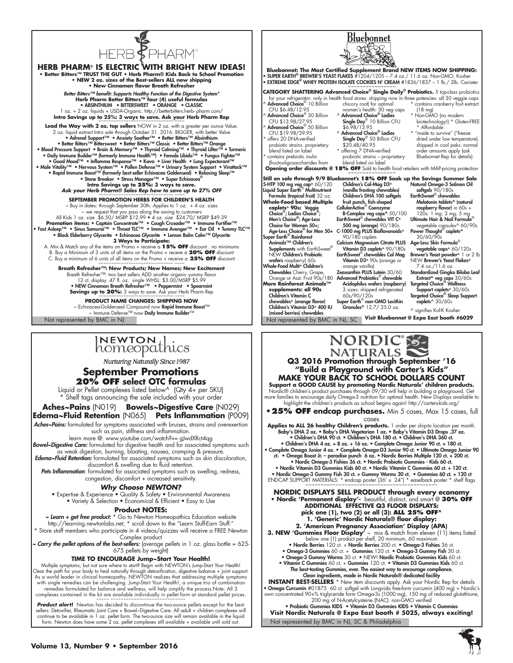

**HERB PHARM**® **IS ELECTRIC WITH BRIGHT NEW IDEAS! • Better Bitters™ TRUST THE GUT • Herb Pharm® Kids Back to School Promotion • NEW 2 oz. sizes of the Best-sellers ALL now shipping • New Cinnamon flavor Breath Refresher**  *Better Bitters™ benefit: Supports Healthy Function of the Digestive System\** **Herb Pharm Better Bitters™ four (4) useful formulas** • ABSINTHIUM • BITTERSWEET • ORANGE • CLASSIC 1 oz. + 2 oz. liquids + USDA-Organic. http://betterbitters.herb- pharm.com/ **Intro Savings up to 25%: 3 ways to save. Ask your Herb Pharm Rep** ~~~~~~~~~~~~~~~~~~~~~~~~~~~~~~ ~~~~ **Lead the Way with 2 oz. top sellers** NOW in 2 oz. with a greater per ounce Value. 2 oz. liquid extract Intro sale through October 31. 2016. BIGGER, with better Value • Adrenal Support™ • Anxiety Soother™ • Better Bitters™ Absinthium • Better Bitters™ Bittersweet • Better Bitters™ Classic • Better Bitters™ Orange • Blood Pressure Support • Brain & Memory™ • Thyroid Calming™ • Thyroid Lifter™ • Turmeric Onily Immune Builder™ (formerly Immune Health™) • Female Libido™ • Fungus Fighter™ • مال و Good Mood™ • Inflamma Response™<br>Oood Mood™ • Inflamma Response™ • Kava • Liver Health • Buler Despectorant™<br>• Male Vitality™ • Ne • Rapid Immune Boost™ (formerly best-seller Echinacea Goldenseal) • Relaxing Sleep™ • Stone Breaker • Stress Manager™ • Super Echinacea® **Intro Savings up to 25%: 3 ways to save.** Ask your Herb Pharm<sup>®</sup> Sales Rep how to save up to 27% OFF **SEPTEMBER PROMOTION HERBS FOR CHILDREN'S HEALTH** ~ Buy in dates: through September 30th. Applies to 1 oz. + 4 oz. sizes ~ we request that you pass along the saving to customers All Kids 1 oz. size \$6.50/ MSRP \$12.99 • 4 oz. size \$24.70/ MSRP \$49.39 Promotion items: • Captain Concentrate™ • Cough Crusader™ • Immune Fortifier™<br>• Fast Asleep™ • Sinus Samurai™ • Throat TLC™ • Immune Avenger™ • Ear Oil • Tummy TLC™ **•** Black Elderberry Glycerite **•** Echinacea Glycerite **•** Lemon Balm Calm™ Glycerite **3 Ways to Participate:** A. Mix & Match any of the items on Promo + receive a **15% OFF** discount . no minimums B. Buy a Minimum of 3 units of all items on the Promo + receve a **20% OFF** discount C. Buy a minimum of 6 units of all items on the Promo + receive a **25% OFF** discount **Breath Refresher™: New Products; New Names; New Excitement** Breath Refresher™: two best sellers ADD another organic yummy flavor 12 ct. display .47 fl. oz. single WHSL: \$3.00/MSRP \$5.99<br>• NEW Cinnamon Breath Refresher™ • Peppermint • Spearmint<br>Savings up to 20%: 33 ways to save. Ask your Herb Pharm Rep **PRODUCT NAME CHANGES: SHIPPING NOW** ~ Echinacea-Goldenseal Compound now **Rapid Immune Boost™**<br>~ Immune Defense™ now **Daily Immune Builder™** 

# INEWTON di

Nurturing Naturally Since 1987

### **September Promotions 20% OFF select OTC formulas**

Liquid or Pellet complexes listed below^ (Qty 4+ per SKU) Shelf tags announcing the sale included with your order

**Aches~Pains** (N019) **Bowels~Digestive Care** (N029) **Edema~Fluid Retention** (N065) **Pets Inflammation** (P009)

Aches~Pains: formulated for symptoms associated with bruises, strains and overexertion

such as pain, stiffness and inflammation. learn more @: www.youtube.com/watch?v= gJwdXRct4qg

*Bowel~Digestive Care:* formulated for digestive health and for associated symptoms such as weak digestion, burning, bloating, nausea, cramping & pressure. *Edema~Fluid Retention:* formulated for associated symptoms such as skin discoloration,

discomfort & swelling due to fluid retention.

*Pets Inflammation*: formulated for associated symptoms such as swelling, redness, congestion, discomfort + increased sensitivity.

### *Why Choose NEWTON?*

• Expertise & Experience • Quality & Safety • Environmental Awareness • Variety & Selection • Economical & Efficient • Easy to Use

### **Product NOTES:**

*~ Learn + get free product:* \* Go to Newton Homeopathics Education website http://learning.newtonlabs.net; \* scroll down to the "Learn Stuff-Earn Stuff:"

\* Store staff members who participate in 4 videos/quizzes will receive a FREE Newton Complex product

*~ Carry the pellet options of the best-sellers:* (average pellets in 1 oz. glass bottle = 625- 675 pellets by weight)

### **TIME TO ENCOURAGE Jump~Start Your Health!**

Multiple symptoms, but not sure where to start? Begin with NEWTON's Jump-Start Your Health!<br>Clear the path for your body to heal naturally through detoxitication, digestive balance + joint support.<br>As a world leader in cli with single remedies can be challenging. Jump-Start Your Health!, a unique trio of combination remedies formulated for balance and wellness, will help simplify the process.Note: All 3<br>complexes contained in the kit are available individually in pellet form at standard pellet prices.<br>~~~~~ ~~~~~~~~~~~~~~~~~~~~~~~~~~~

*Product alert!* Newton has decided to discontinue the two-ounce pellets except for the best-sellers: Detoxifier, Rheumatic Joint Care + Bowel~Digestive Care. All adult + children complexes will continue to be available in 1 oz. pellet form. The two-ounce size will remain available in the liquid form. Newton does have some 2 oz. pellet complexes still available + available until sold out.



<u>Bluebonnet</u>

#### **NATURALS Q3 2016 Promotion through September '16 "Build a Playground with Carter's Kids" MAKE YOUR BACK TO SCHOOL DOLLARS COUNT**

**Support a GOOD CAUSE by promoting Nordic Naturals' children products.** Nordic® children's product purchases through 09/30 will help in building a playground. Get more families to encourage daily Omega-3 nutrition for optimal health. New Displays available to highlight the children's products as school begins again! http://carters-kids.org/

**•25% OFF endcap purchases.** Min 5 cases, Max 15 cases, full cases

Applies to ALL 26 healthy Children's products. I order per ship-to location per month.<br>Baby's DHA 2 oz. • Baby's DHA Vegetarian I oz. • Baby's Vitamin D3 Drops .37 oz.<br>• Children's DHA 90 ct. • Children's DHA 180 ct. • C

• Children's DHA 4 oz. + 8 oz. + 16 oz. • Complete Omega Junior 90 ct. + 180 ct. • Complete Omega Junior 4 oz. • Complete Omega-D3 Junior 90 ct. • Ultimate Omega Junior 90<br>ct. • Omega Boost Jr. – paradise punch 6 oz. • Nordic Berries Multiple 120 ct. • 200 ct.<br>• Nordic Omega-3 Fishies 36 ct. • Nordic • Nordic Vitamin D3 Gummies Kids 60 ct. • Nordic Vitamin C Gummies 60 ct. + 120 ct.

• Nordic Omega-3 Gummy Fish 30 ct. + Gummy Worms 30 ct. • Gummies 60 ct. + 120 ct ENDCAP SUPPORT MATERIALS: \* endcap poster (36' x 24") \* easelback poster \* shelf flags ~~~~~~~~~~~~~~~~~~~~~~~~~~~~~~~~~~~~~~~~~~~~

**NORDIC DISPLAYS SELL PRODUCT through every economy • Nordic 'Permanent display'-** beautiful, distinct, and smart @ **30% OFF Additional effective Q3 floor displays: pick one (1), two (2) or all (3): ALL 25% OFF^ 1. 'Generic' Nordic Naturals® floor display: 2. 'American Pregnancy Association' Display (APA)**

**3. NEW 'Gummies Floor Display'** ~ mix & match from eleven (11) items listed below one (1) product per shelf, 20 minimum, 60 maximum • Nordic Berries 120 ct. + Nordic Berries 200 ct. • Omega-3 Fishies 36 ct. • Omega-3 Gummies 60 ct. + Gummies 120 ct. • Omega-3 Gummy Fish 30 ct. • Omega-3 Gummy Worms 30 ct. • NEW! Nordic Probiotic Gummies Kids 60 ct.

• Vitamin C Gummies 60 ct. + Gummies 120 ct. • Vitamin D3 Gummies Kids 60 ct. The best-tasting Gummies, ever. The easiest way to encourage compliance.

Clean ingredients, made in Nordic Naturals® dedicated facility<br>• INSTANT BEST-SELLERS \* New item discounts apply. Ask your Nordic Rep for details<br>• Omega Curcumin #01875 60 ct. softgel with Longvida free-form curcumin (400

own concentrated 90+% triglyceride form Omega-3s (1000 mg), 150 mg of reduced glutathione,<br>200 mg of N-Acetylcysteine (NAC). non-GMO verified<br>• Probiotic Gummies KIDS • Vitamin D3 Gummies KIDS • Vitamin C Gummies

Not represented by BMC in NJ, SC & Philadelphia **Visit Nordic Naturals @ Expo East booth # 5025, always exciting!**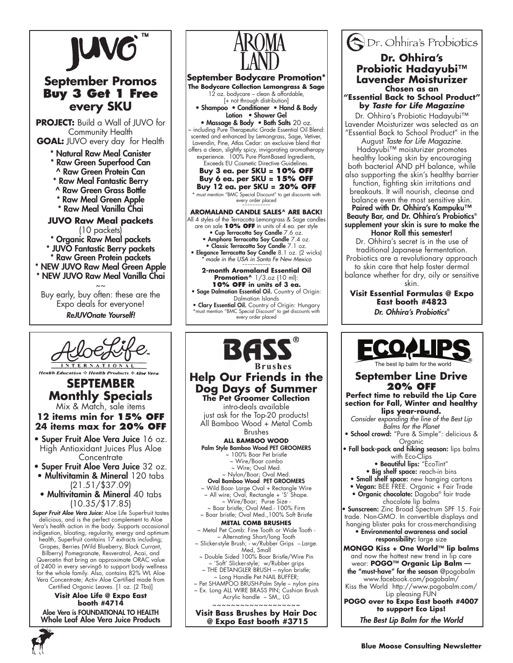

# **September Promos Buy 3 Get 1 Free every SKU**

**PROJECT:** Build a Wall of JUVO for Community Health **GOAL:** JUVO every day for Health

\* Natural Raw Meal Canister

- \* Raw Green Superfood Can
- ^ Raw Green Protein Can
- \* Raw Meal Fantastic Berry
- ^ Raw Green Grass Bottle
- \* Raw Meal Green Apple
- \* Raw Meal Vanilla Chai

**JUVO Raw Meal packets**  (10 packets) \* Organic Raw Meal packets \* JUVO Fantastic Berry packets \* Raw Green Protein packets \* NEW JUVO Raw Meal Green Apple \* NEW JUVO Raw Meal Vanilla Chai

 $\sim$   $\sim$ Buy early, buy often: these are the Expo deals for everyone!

*ReJUVOnate Yourself!* 



**Monthly Specials** Mix & Match, sale items

**12 items min for 15% off 24 items max for 20% off**

• Super Fruit Aloe Vera Juice 16 oz. High Antioxidant Juices Plus Aloe **Concentrate** 

• Super Fruit Aloe Vera Juice 32 oz.

- Multivitamin & Mineral 120 tabs (21.51/\$37.09)
- Multivitamin & Mineral 40 tabs (10.35/\$17.85)

*Super Fruit Aloe Vera Juice:* Aloe Life Superfruit tastes delicious, and is the perfect complement to Aloe Vera's health action in the body. Supports occasional indigestion, bloating, regularity, energy and optimum health, Superfruit contains 17 extracts including; Grapes, Berries (Wild Blueberry, Black Currant, Bilberry) Pomegranate, Resveratrol, Acai, and Quercetin that bring an approximate ORAC value of 2400 in every serving6 to support body wellness for the whole family. Also, contains 82% WL Aloe Vera Concentrate; Activ Aloe Certified made from Certified Organic Leaves. [1 oz. (2 Tbs)]

**Visit Aloe Life @ Expo East booth #4714** Aloe Vera is FOUNDATIONAL TO HEALTH Whole Leaf Aloe Vera Juice Products



~ 'Soft' Slicker-style; w/Rubber grips THE DETANGLER BRUSH – nylon bristle; ~ Long Handle Pet NAIL BUFFER; ~ Pet SHAMPOO BRUSH-Palm Style – nylon pins ~ Ex. Long ALL WIRE BRASS PIN; Cushion Brush Acrylic handle – SM,, LG ~~~~~~~~~~~~~~~~~~~ **Visit Bass Brushes by Hair Doc @ Expo East booth #3715**

Dr. Ohhira's Probiotics **Dr. Ohhira's Probiotic Hadayubi™ Lavender Moisturizer Chosen as an "Essential Back to School Product"** 

**by** *Taste for Life Magazine* Dr. Ohhira's Probiotic Hadayubi™ Lavender Moisturizer was selected as an "Essential Back to School Product" in the

August *Taste for Life Magazine.* Hadayubi™ moisturizer promotes healthy looking skin by encouraging both bacterial AND pH balance, while

also supporting the skin's healthy barrier function, fighting skin irritations and breakouts. It will nourish, cleanse and balance even the most sensitive skin.

Paired with Dr. Ohhira's Kampuku™ Beauty Bar, and Dr. Ohhira's Probiotics® supplement your skin is sure to make the

Honor Roll this semester!

Dr. Ohhira's secret is in the use of traditional Japanese fermentation. Probiotics are a revolutionary approach to skin care that help foster dermal balance whether for dry, oily or sensitive

skin.

**Visit Essential Formulas @ Expo East booth #4823** *Dr. Ohhira's Probiotics*®

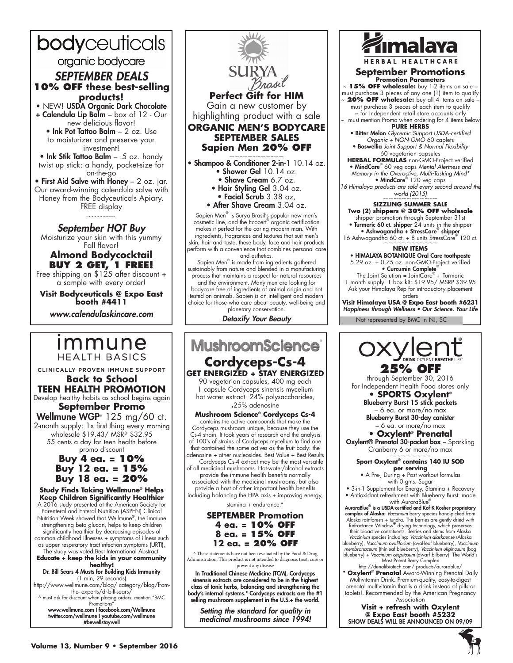# bodyceuticals organic bodycare *SEPTEMBER DEALS*  **10% OFF these best-selling products!**

• NEW! USDA Organic Dark Chocolate + Calendula Lip Balm – box of 12 - Our new delicious flavor!

• Ink Pot Tattoo Balm – 2 oz. Use to moisturizer and preserve your investment!

• Ink Stik Tattoo Balm – .5 oz. handy twist up stick: a handy, pocket-size for on-the-go

• First Aid Salve with  $\check{H}$ oney - 2 oz. jar. Our award-winning calendula salve with Honey from the Bodyceuticals Apiary. FREE display

~~~~~~~~~

#### *September HOT Buy*

Moisturize your skin with this yummy Fall flavor!

### **Almond Bodycocktail Buy 2 get, 1 free!**

Free shipping on \$125 after discount + a sample with every order!

**Visit Bodyceuticals @ Expo East booth #4411**

*www.calendulaskincare.com*

# *Immune* **HEALTH BASICS**

CLINICALLY PROVEN IMMUNE SUPPORT **Back to School TEEN HEALTH PROMOTION** Develop healthy habits as school begins again **September Promo**

Wellmune WGP<sup>®</sup> 125 mg/60 ct. 2-month supply: 1x first thing every morning wholesale \$19.43/ MSRP \$32.95 55 cents a day for teen health before promo discount

### **Buy 4 ea. = 10% Buy 12 ea. = 15% Buy 18 ea. = 20%**

**Study Finds Taking Wellmune® Helps Keep Children Significantly Healthier** A 2016 study presented at the American Society for Parenteral and Enteral Nutrition (ASPEN) Clinical Nutrition Week showed that Wellmune**®**, the immune strengthening beta glucan, helps to keep children significantly healthier by decreasing episodes of common childhood illnesses + symptoms of illness such as upper respiratory tract infection symptoms (URTI), The study was voted Best International Abstract. **Educate + keep the kids in your community healthy!** Dr. Bill Sears 4 Musts for Building Kids Immunity (1 min, 29 seconds) http://www.wellmune.com/blog/ category/blog/fromthe- experts/dr-bill-sears/ ^ must ask for discount when placing orders: mention "BMC Promotions' www.wellmune.com I facebook.com/Wellmune

twitter.com/wellmune I youtube.com/wellmune #bewellstaywell



makes it perfect for the caring modern man. With ingredients, fragrances and textures that suit men's skin, hair and taste, these body, face and hair products perform with a convenience that combines personal care and esthetics.

Sapien Men® is made from ingredients gathered sustainably from nature and blended in a manufacturing process that maintains a respect for natural resources and the environment. Many men are looking for bodycare free of ingredients of animal origin and not tested on animals. Sapien is an intelligent and modern choice for those who care about beauty, well-being and planetary conservation.

*Detoxify Your Beauty*

# **MushroomScience Cordyceps-Cs-4**

# **GET ENERGIZED + STAY ENERGIZED**

90 vegetarian capsules, 400 mg each 1 capsule Cordyceps sinensis mycelium hot water extract 24% polysaccharides, **.**25% adenosine

#### **Mushroom Science® Cordyceps Cs-4**

contains the active compounds that make the Cordyceps mushroom unique, because they use the Cs-4 strain. It took years of research and the analysis of 100's of strains of Cordyceps mycelium to find one that contained the same actives as the fruit body: the adenosine + other nucleosides. Best Value + Best Results Cordyceps Cs-4 extract may be the most versatile of all medicinal mushrooms. Hot-water/alcohol extracts provide the immune health benefits normally associated with the medicinal mushrooms, but also

provide a host of other important health benefits including balancing the HPA axis + improving energy, stamina + endurance.\*

**SEPTEMBER Promotion 4 ea. = 10% OFF 8 ea. = 15% OFF 12 ea. = 20% OFF**

^ These statements have not been evaluated by the Food & Drug Administration. This product is not intended to diagnose, treat, cure or prevent any disease

In Traditional Chinese Medicine (TCM), Cordyceps sinensis extracts are considered to be in the highest class of tonic herbs, balancing and strengthening the body's internal systems.\* Cordyceps extracts are the #1 selling mushroom supplement in the U.S.+ the world.

*Setting the standard for quality in medicinal mushrooms since 1994!*



**HERBAL HEALTHC.** 

#### **September Promotions Promotion Parameters**

~ **15% OFF wholesale:** buy 1-2 items on sale – must purchase 3 pieces of any one (1) item to qualify ~ **20% OFF wholesale:** buy all 4 items on sale –

must purchase 3 pieces of each item to qualify ~ for Independent retail store accounts only

~ must mention Promo when ordering for 4 items below **PURE HERBS**  • Bitter Melon *Glycemic Support USDA-certified* 

*Organic + NON-GMO* 60 caplets • Boswellia *Joint Support & Normal Flexibility* 60 vegetarian capsules

**HERBAL FORMULAS** non-GMO-Project verified • MindCare® 60 veg caps *Mental Alertness and Memory in the Overactive, Multi-Tasking Mind\** • MindCare<sup>®</sup> 120 veg caps

*16 Himalaya products are sold every second around the world (2015)* ~~~~~~~~~~~~~~~~~~~~~

#### **SIZZLING SUMMER SALE**

**Two (2) shippers @ 30% off wholesale**

shipper promotion through September 31st Turmeric 60 ct. shipper 24 units in the shipper • Ashwagandha + StressCare® shipper

16 Ashwagandha 60 ct. + 8 units StressCare<sup>®</sup> 120 ct.

#### **NEW ITEMS**

• HIMALAYA BOTANIQUE Oral Care toothpaste 5.29 oz. + 0.75 oz. non-GMO-Project verified • Curcumin Complete®

The Joint Solution = Joint $\bar{\mathrm{Care}}^{\circledast}$  + Turmeric 1 month supply. 1 box kit: \$19.95/ MSRP \$39.95 Ask your Himalaya Rep for introductory placement orders

**Visit Himalaya USA @ Expo East booth #6231** Happiness through Wellness • Our Science. Your Life

Not represented by BMC in NJ, SC



through September 30, 2016 for Independent Health Food stores only

### **• SPORTS Oxylent®**

Blueberry Burst 15 stick packets – 6 ea. or more/no max Blueberry Burst 30-day canister – 6 ea. or more/no max

**• Oxylent® Prenatal** Oxylent® Prenatal 30-packet box – Sparkling

Cranberry 6 or more/no max

#### ~~~~~~~~~~~~~~~~ **Sport Oxylent® contains 140 IU SOD per serving**

• A Pre-, During + Post workout formulas with 0 gms. Sugar

• 3-in-1 Supplement for Energy, Stamina + Recovery • Antioxidant refreshment with Blueberry Burst: made

with AuroraBlue**®** AuroraBlue**®** is a USDA-certified and Kof-K Kosher proprietary complex of Alaska: *Vaccinium* berry species hand-picked from Alaska rainforests + tundra. The berries are gently dried with Refractance Window**®** drying technology, which preserves their bioactive constituents. Berries and stems from Alaska *Vaccinium* species including: *Vaccinium alaskaense* (Alaska blueberry), *Vaccinium ovaliforium* (oval-leaf blueberry), *Vaccinium membranaceum* (thinleaf blueberry), *Vaccinium uliginosum* (bog blueberry) + *Vaccinium cespitosum* (dwarf bilberry) The World's Most Potent Berry Complex

http://denalibiotech.com/ products/aurorablue/ **\* Oxylent® Prenatal** Award-Winning Prenatal Daily Multivitamin Drink. Premium-quality, easy-to-digest prenatal multivitamin that is a drink instead of pills or tablets!. Recommended by the American Pregnancy

Association **Visit + refresh with Oxylent @ Expo East booth #5232** SHOW DEALS WILL BE ANNOUNCED ON 09/09

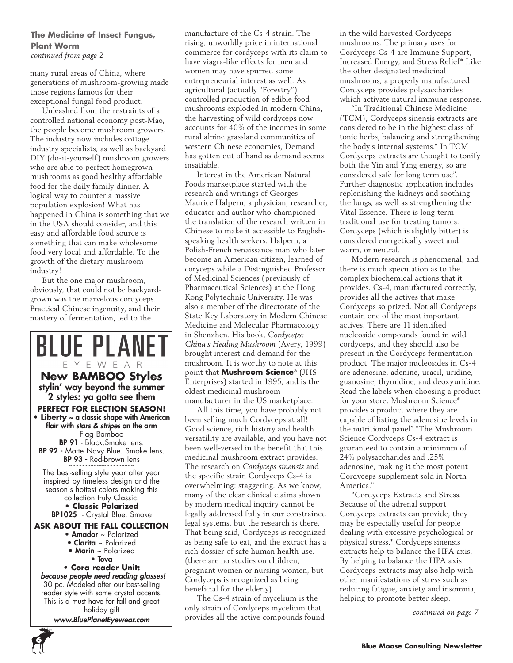### **The Medicine of Insect Fungus, Plant Worm**  *continued from page 2*

many rural areas of China, where generations of mushroom-growing made those regions famous for their exceptional fungal food product.

Unleashed from the restraints of a controlled national economy post-Mao, the people become mushroom growers. The industry now includes cottage industry specialists, as well as backyard DIY (do-it-yourself) mushroom growers who are able to perfect homegrown mushrooms as good healthy affordable food for the daily family dinner. A logical way to counter a massive population explosion! What has happened in China is something that we in the USA should consider, and this easy and affordable food source is something that can make wholesome food very local and affordable. To the growth of the dietary mushroom industry!

But the one major mushroom, obviously, that could not be backyardgrown was the marvelous cordyceps. Practical Chinese ingenuity, and their mastery of fermentation, led to the

**BLUE PLANE** 

EYEWEAR **New BAMBOO Styles** stylin' way beyond the summer 2 styles: ya gotta see them **PERFECT FOR ELECTION SEASON! • Liberty** ~ a classic shape with American flair with *stars & stripes* on the arm Flag Bamboo BP 91 - Black.Smoke lens. **BP 92 -** Matte Navy Blue. Smoke lens. **BP 93 -** Red-brown lens

The best-selling style year after year inspired by timeless design and the season's hottest colors making this collection truly Classic.

**• Classic Polarized** BP1025 - Crystal Blue. Smoke

### **Ask about The Fall Collection**

- Amador ~ Polarized
- Clarita ~ Polarized • Marin ~ Polarized

• Tova

### **• Cora reader Unit:**

*because people need reading glasses!* 30 pc. Modeled after our best-selling reader style with some crystal accents. This is a must have for fall and great holiday gift

*www.BluePlanetEyewear.com*

**6**

manufacture of the Cs-4 strain. The rising, unworldly price in international commerce for cordyceps with its claim to have viagra-like effects for men and women may have spurred some entrepreneurial interest as well. As agricultural (actually "Forestry") controlled production of edible food mushrooms exploded in modern China, the harvesting of wild cordyceps now accounts for 40% of the incomes in some rural alpine grassland communities of western Chinese economies, Demand has gotten out of hand as demand seems insatiable.

Interest in the American Natural Foods marketplace started with the research and writings of Georges-Maurice Halpern, a physician, researcher, educator and author who championed the translation of the research written in Chinese to make it accessible to Englishspeaking health seekers. Halpern, a Polish-French renaissance man who later become an American citizen, learned of coryceps while a Distinguished Professor of Medicinal Sciences (previously of Pharmaceutical Sciences) at the Hong Kong Polytechnic University. He was also a member of the directorate of the State Key Laboratory in Modern Chinese Medicine and Molecular Pharmacology in Shenzhen. His book, *Cordyceps: China's Healing Mushroom* (Avery, 1999) brought interest and demand for the mushroom. It is worthy to note at this point that **Mushroom Science**® (JHS Enterprises) started in 1995, and is the oldest medicinal mushroom manufacturer in the US marketplace.

All this time, you have probably not been selling much Cordyceps at all! Good science, rich history and health versatility are available, and you have not been well-versed in the benefit that this medicinal mushroom extract provides. The research on *Cordyceps sinensis* and the specific strain Cordyceps Cs-4 is overwhelming: staggering. As we know, many of the clear clinical claims shown by modern medical inquiry cannot be legally addressed fully in our constrained legal systems, but the research is there. That being said, Cordyceps is recognized as being safe to eat, and the extract has a rich dossier of safe human health use. (there are no studies on children, pregnant women or nursing women, but Cordyceps is recognized as being beneficial for the elderly).

The Cs-4 strain of mycelium is the only strain of Cordyceps mycelium that provides all the active compounds found in the wild harvested Cordyceps mushrooms. The primary uses for Cordyceps Cs-4 are Immune Support, Increased Energy, and Stress Relief\* Like the other designated medicinal mushrooms, a properly manufactured Cordyceps provides polysaccharides which activate natural immune response.

"In Traditional Chinese Medicine (TCM), Cordyceps sinensis extracts are considered to be in the highest class of tonic herbs, balancing and strengthening the body's internal systems.\* In TCM Cordyceps extracts are thought to tonify both the Yin and Yang energy, so are considered safe for long term use". Further diagnostic application includes replenishing the kidneys and soothing the lungs, as well as strengthening the Vital Essence. There is long-term traditional use for treating tumors. Cordyceps (which is slightly bitter) is considered energetically sweet and warm, or neutral.

Modern research is phenomenal, and there is much speculation as to the complex biochemical actions that it provides. Cs-4, manufactured correctly, provides all the actives that make Cordyceps so prized. Not all Cordyceps contain one of the most important actives. There are 11 identified nucleoside compounds found in wild cordyceps, and they should also be present in the Cordyceps fermentation product. The major nucleosides in Cs-4 are adenosine, adenine, uracil, uridine, guanosine, thymidine, and deoxyuridine. Read the labels when choosing a product for your store: Mushroom Science® provides a product where they are capable of listing the adenosine levels in the nutritional panel! "The Mushroom Science Cordyceps Cs-4 extract is guaranteed to contain a minimum of 24% polysaccharides and .25% adenosine, making it the most potent Cordyceps supplement sold in North America."

"Cordyceps Extracts and Stress. Because of the adrenal support Cordyceps extracts can provide, they may be especially useful for people dealing with excessive psychological or physical stress.\* Cordyceps sinensis extracts help to balance the HPA axis. By helping to balance the HPA axis Cordyceps extracts may also help with other manifestations of stress such as reducing fatigue, anxiety and insomnia, helping to promote better sleep.

*continued on page 7*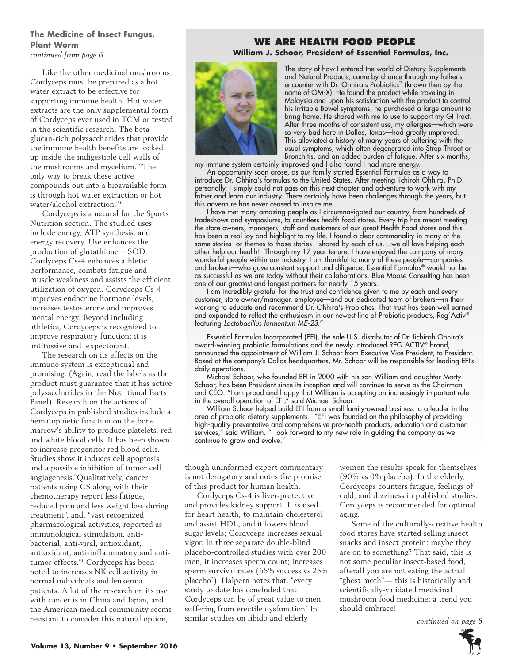### **The Medicine of Insect Fungus, Plant Worm**  *continued from page 6*

Like the other medicinal mushrooms, Cordyceps must be prepared as a hot water extract to be effective for supporting immune health. Hot water extracts are the only supplemental form of Cordyceps ever used in TCM or tested in the scientific research. The beta glucan-rich polysaccharides that provide the immune health benefits are locked up inside the indigestible cell walls of the mushrooms and mycelium. "The only way to break these active compounds out into a bioavailable form is through hot water extraction or hot water/alcohol extraction."\*

Cordyceps is a natural for the Sports Nutrition section. The studied uses include energy, ATP synthesis, and energy recovery. Use enhances the production of glutathione + SOD. Cordyceps Cs-4 enhances athletic performance, combats fatigue and muscle weakness and assists the efficient utilization of oxygen. Corydceps Cs-4 improves endocrine hormone levels, increases testosterone and improves mental energy. Beyond including athletics, Cordyceps is recognized to improve respiratory function: it is antitussive and expectorant.

The research on its effects on the immune system is exceptional and promising. (Again, read the labels as the product must guarantee that it has active polysaccharides in the Nutritional Facts Panel). Research on the actions of Cordyceps in published studies include a hematopoietic function on the bone marrow's ability to produce platelets, red and white blood cells. It has been shown to increase progenitor red blood cells. Studies show it induces cell apoptosis and a possible inhibition of tumor cell angiogenesis."Qualitatively, cancer patients using CS along with their chemotherapy report less fatigue, reduced pain and less weight loss during treatment", and, "vast recognized pharmacological activities, reported as immunological stimulation, antibacterial, anti-viral, antioxidant, antioxidant, anti-inflammatory and antitumor effects."1 Cordyceps has been noted to increases NK cell activity in normal individuals and leukemia patients. A lot of the research on its use with cancer is in China and Japan, and the American medical community seems resistant to consider this natural option,

# **WE ARE HEALTH FOOD PEOPLE**

**William J. Schoor, President of Essential Formulas, Inc.** 



The story of how I entered the world of Dietary Supplements and Natural Products, came by chance through my father's encounter with Dr. Ohhira's Probiotics® (known then by the name of OM-X). He found the product while traveling in Malaysia and upon his satisfaction with the product to control his Irritable Bowel symptoms, he purchased a large amount to bring home. He shared with me to use to support my GI Tract. After three months of consistent use, my allergies—which were so very bad here in Dallas, Texas—had greatly improved. This alleviated a history of many years of suffering with the usual symptoms, which often degenerated into Strep Throat or Bronchitis, and an added burden of fatigue. After six months,

my immune system certainly improved and I also found I had more energy.

An opportunity soon arose, as our family started Essential Formulas as a way to introduce Dr. Ohhira's formulas to the United States. After meeting Iichiroh Ohhira, Ph.D. personally, I simply could not pass on this next chapter and adventure to work with my father and learn our industry. There certainly have been challenges through the years, but this adventure has never ceased to inspire me.

I have met many amazing people as I circumnavigated our country, from hundreds of tradeshows and symposiums, to countless health food stores. Every trip has meant meeting the store owners, managers, staff and customers of our great Health Food stores and this has been a real joy and highlight to my life. I found a clear commonality in many of the same stories -or themes to those stories—shared by each of us….we all love helping each other help our health! Through my 17 year tenure, I have enjoyed the company of many wonderful people within our industry. I am thankful to many of these people—companies and brokers—who gave constant support and diligence. Essential Formulas® would not be as successful as we are today without their collaborations. Blue Moose Consulting has been one of our greatest and longest partners for nearly 15 years.

I am incredibly grateful for the trust and confidence given to me by each and every customer, store owner/manager, employee—and our dedicated team of brokers—in their working to educate and recommend Dr. Ohhira's Probiotics. That trust has been well earned and expanded to reflect the enthusiasm in our newest line of Probiotic products, Reg´Activ® featuring *Lactobacillus fermentum ME-23*."

Essential Formulas Incorporated (EFI), the sole U.S. distributor of Dr. Iichiroh Ohhira's award-winning probiotic formulations and the newly introduced REG´ACTIV® brand, announced the appointment of William J. Schoor from Executive Vice President, to President. Based at the company's Dallas headquarters, Mr. Schoor will be responsible for leading EFI's daily operations.

Michael Schoor, who founded EFI in 2000 with his son William and daughter Marty Schoor, has been President since its inception and will continue to serve as the Chairman and CEO. "I am proud and happy that William is accepting an increasingly important role in the overall operation of EFI," said Michael Schoor.

William Schoor helped build EFI from a small family-owned business to a leader in the area of probiotic dietary supplements. "EFI was founded on the philosophy of providing high-quality preventative and comprehensive pro-health products, education and customer services," said William. "I look forward to my new role in guiding the company as we continue to grow and evolve."

though uninformed expert commentary is not derogatory and notes the promise of this product for human health.

Cordyceps Cs-4 is liver-protective and provides kidney support. It is used for heart health, to maintain cholesterol and assist HDL, and it lowers blood sugar levels; Cordyceps increases sexual vigor. In three separate double-blind placebo-controlled studies with over 200 men, it increases sperm count; increases sperm survival rates (65% success vs 25% placebo2 ). Halpern notes that, "every study to date has concluded that Cordyceps can be of great value to men suffering from erectile dysfunction" In similar studies on libido and elderly

women the results speak for themselves (90% vs 0% placebo). In the elderly, Cordyceps counters fatigue, feelings of cold, and dizziness in published studies. Cordyceps is recommended for optimal aging.

Some of the culturally-creative health food stores have started selling insect snacks and insect protein: maybe they are on to something? That said, this is not some peculiar insect-based food, afterall you are not eating the actual "ghost moth"— this is historically and scientifically-validated medicinal mushroom food medicine: a trend you should embrace!

*continued on page 8*